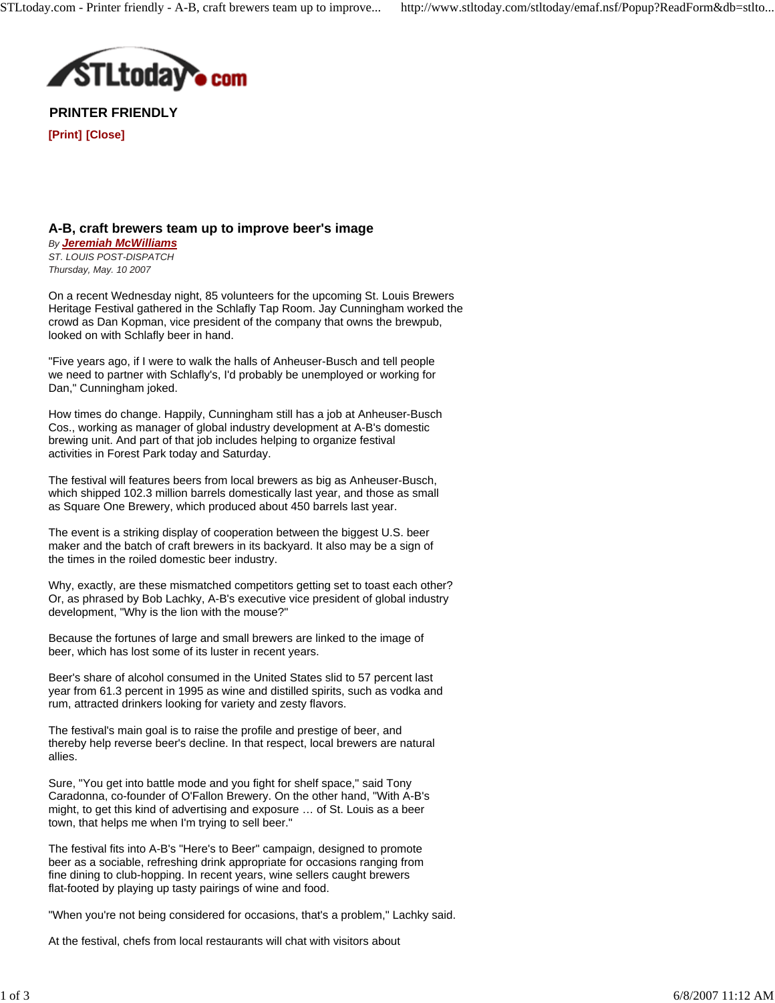

**PRINTER FRIENDLY**

**[Print] [Close]**

## **A-B, craft brewers team up to improve beer's image** *By Jeremiah McWilliams*

*ST. LOUIS POST-DISPATCH Thursday, May. 10 2007*

On a recent Wednesday night, 85 volunteers for the upcoming St. Louis Brewers Heritage Festival gathered in the Schlafly Tap Room. Jay Cunningham worked the crowd as Dan Kopman, vice president of the company that owns the brewpub, looked on with Schlafly beer in hand.

"Five years ago, if I were to walk the halls of Anheuser-Busch and tell people we need to partner with Schlafly's, I'd probably be unemployed or working for Dan," Cunningham joked.

How times do change. Happily, Cunningham still has a job at Anheuser-Busch Cos., working as manager of global industry development at A-B's domestic brewing unit. And part of that job includes helping to organize festival activities in Forest Park today and Saturday.

The festival will features beers from local brewers as big as Anheuser-Busch, which shipped 102.3 million barrels domestically last year, and those as small as Square One Brewery, which produced about 450 barrels last year.

The event is a striking display of cooperation between the biggest U.S. beer maker and the batch of craft brewers in its backyard. It also may be a sign of the times in the roiled domestic beer industry.

Why, exactly, are these mismatched competitors getting set to toast each other? Or, as phrased by Bob Lachky, A-B's executive vice president of global industry development, "Why is the lion with the mouse?"

Because the fortunes of large and small brewers are linked to the image of beer, which has lost some of its luster in recent years.

Beer's share of alcohol consumed in the United States slid to 57 percent last year from 61.3 percent in 1995 as wine and distilled spirits, such as vodka and rum, attracted drinkers looking for variety and zesty flavors.

The festival's main goal is to raise the profile and prestige of beer, and thereby help reverse beer's decline. In that respect, local brewers are natural allies.

Sure, "You get into battle mode and you fight for shelf space," said Tony Caradonna, co-founder of O'Fallon Brewery. On the other hand, "With A-B's might, to get this kind of advertising and exposure … of St. Louis as a beer town, that helps me when I'm trying to sell beer."

The festival fits into A-B's "Here's to Beer" campaign, designed to promote beer as a sociable, refreshing drink appropriate for occasions ranging from fine dining to club-hopping. In recent years, wine sellers caught brewers flat-footed by playing up tasty pairings of wine and food.

"When you're not being considered for occasions, that's a problem," Lachky said.

At the festival, chefs from local restaurants will chat with visitors about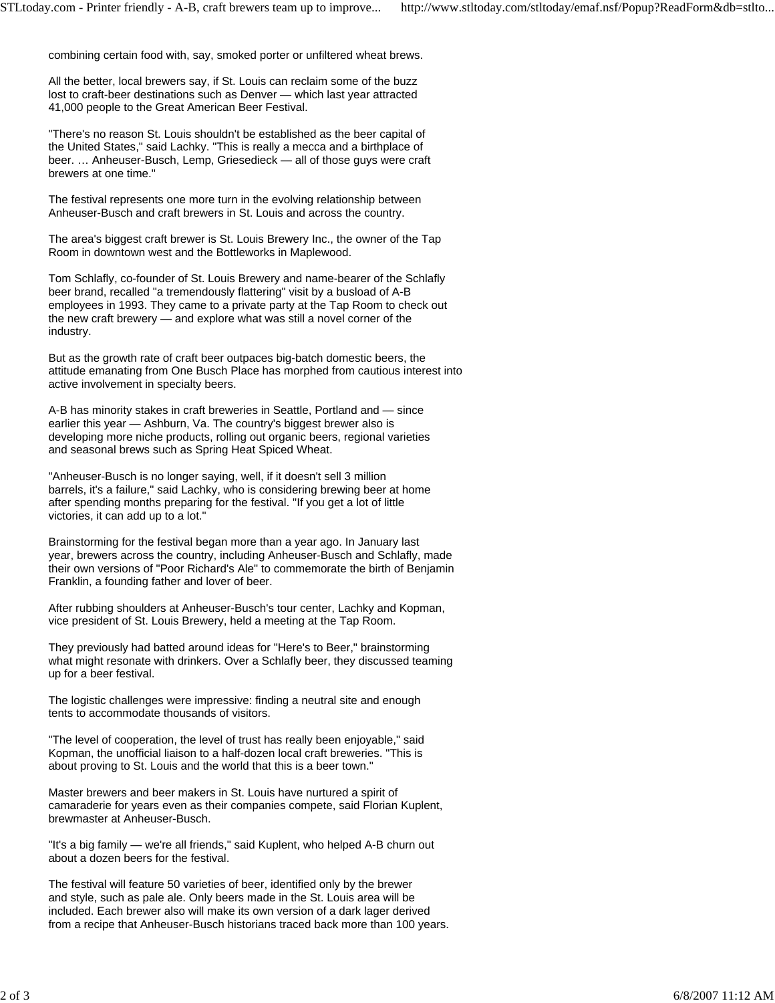combining certain food with, say, smoked porter or unfiltered wheat brews.

All the better, local brewers say, if St. Louis can reclaim some of the buzz lost to craft-beer destinations such as Denver — which last year attracted 41,000 people to the Great American Beer Festival.

"There's no reason St. Louis shouldn't be established as the beer capital of the United States," said Lachky. "This is really a mecca and a birthplace of beer. … Anheuser-Busch, Lemp, Griesedieck — all of those guys were craft brewers at one time."

The festival represents one more turn in the evolving relationship between Anheuser-Busch and craft brewers in St. Louis and across the country.

The area's biggest craft brewer is St. Louis Brewery Inc., the owner of the Tap Room in downtown west and the Bottleworks in Maplewood.

Tom Schlafly, co-founder of St. Louis Brewery and name-bearer of the Schlafly beer brand, recalled "a tremendously flattering" visit by a busload of A-B employees in 1993. They came to a private party at the Tap Room to check out the new craft brewery — and explore what was still a novel corner of the industry.

But as the growth rate of craft beer outpaces big-batch domestic beers, the attitude emanating from One Busch Place has morphed from cautious interest into active involvement in specialty beers.

A-B has minority stakes in craft breweries in Seattle, Portland and — since earlier this year — Ashburn, Va. The country's biggest brewer also is developing more niche products, rolling out organic beers, regional varieties and seasonal brews such as Spring Heat Spiced Wheat.

"Anheuser-Busch is no longer saying, well, if it doesn't sell 3 million barrels, it's a failure," said Lachky, who is considering brewing beer at home after spending months preparing for the festival. "If you get a lot of little victories, it can add up to a lot."

Brainstorming for the festival began more than a year ago. In January last year, brewers across the country, including Anheuser-Busch and Schlafly, made their own versions of "Poor Richard's Ale" to commemorate the birth of Benjamin Franklin, a founding father and lover of beer.

After rubbing shoulders at Anheuser-Busch's tour center, Lachky and Kopman, vice president of St. Louis Brewery, held a meeting at the Tap Room.

They previously had batted around ideas for "Here's to Beer," brainstorming what might resonate with drinkers. Over a Schlafly beer, they discussed teaming up for a beer festival.

The logistic challenges were impressive: finding a neutral site and enough tents to accommodate thousands of visitors.

"The level of cooperation, the level of trust has really been enjoyable," said Kopman, the unofficial liaison to a half-dozen local craft breweries. "This is about proving to St. Louis and the world that this is a beer town."

Master brewers and beer makers in St. Louis have nurtured a spirit of camaraderie for years even as their companies compete, said Florian Kuplent, brewmaster at Anheuser-Busch.

"It's a big family — we're all friends," said Kuplent, who helped A-B churn out about a dozen beers for the festival.

The festival will feature 50 varieties of beer, identified only by the brewer and style, such as pale ale. Only beers made in the St. Louis area will be included. Each brewer also will make its own version of a dark lager derived from a recipe that Anheuser-Busch historians traced back more than 100 years.